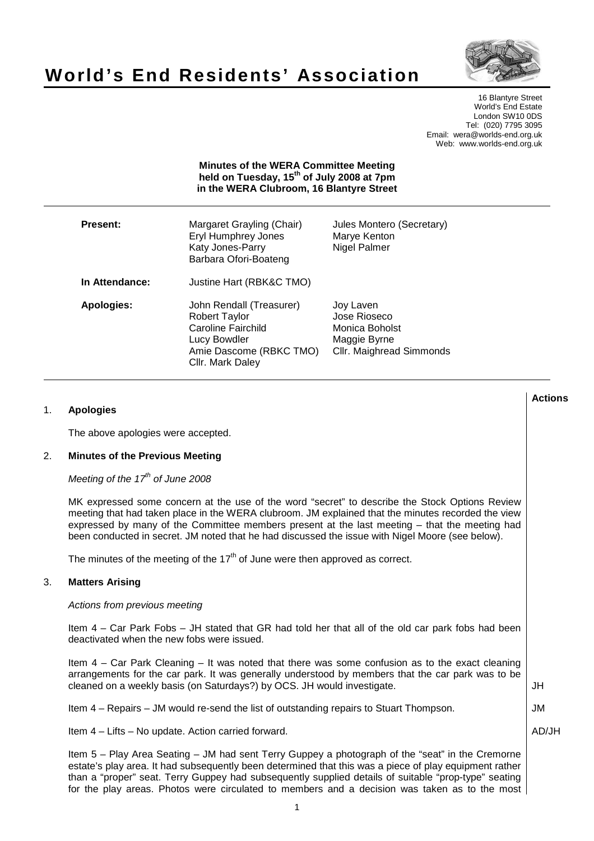# **World's End Residents' Association**



16 Blantyre Street World's End Estate London SW10 0DS Tel: (020) 7795 3095 Email: wera@worlds-end.org.uk Web: www.worlds-end.org.uk

#### **Minutes of the WERA Committee Meeting held on Tuesday, 15th of July 2008 at 7pm in the WERA Clubroom, 16 Blantyre Street**

**Lactions のことには、このことにより、このことにより、このことになります。 そのことには、このことにより、このことにより、このことになります。 そのことには、このことにより、このことには、このことにより、このことにより、このことにより、このことにより、このことにより、このことにより、このことにより、このことにより、このことにより、このことにより、このことにより、このことにより、このことにより、このことによっていることになっ** 

| <b>Present:</b> | Margaret Grayling (Chair)<br>Eryl Humphrey Jones<br>Katy Jones-Parry<br>Barbara Ofori-Boateng                                         | Jules Montero (Secretary)<br>Marye Kenton<br>Nigel Palmer                               |
|-----------------|---------------------------------------------------------------------------------------------------------------------------------------|-----------------------------------------------------------------------------------------|
| In Attendance:  | Justine Hart (RBK&C TMO)                                                                                                              |                                                                                         |
| Apologies:      | John Rendall (Treasurer)<br><b>Robert Taylor</b><br>Caroline Fairchild<br>Lucy Bowdler<br>Amie Dascome (RBKC TMO)<br>Cllr. Mark Daley | Joy Laven<br>Jose Rioseco<br>Monica Boholst<br>Maggie Byrne<br>Cllr. Maighread Simmonds |

1 1. **Apologies**  The above apologies were accepted. 2. **Minutes of the Previous Meeting**  Meeting of the  $17<sup>th</sup>$  of June 2008 MK expressed some concern at the use of the word "secret" to describe the Stock Options Review meeting that had taken place in the WERA clubroom. JM explained that the minutes recorded the view expressed by many of the Committee members present at the last meeting – that the meeting had been conducted in secret. JM noted that he had discussed the issue with Nigel Moore (see below). The minutes of the meeting of the  $17<sup>th</sup>$  of June were then approved as correct. 3. **Matters Arising**  Actions from previous meeting Item 4 – Car Park Fobs – JH stated that GR had told her that all of the old car park fobs had been deactivated when the new fobs were issued. Item 4 – Car Park Cleaning – It was noted that there was some confusion as to the exact cleaning arrangements for the car park. It was generally understood by members that the car park was to be cleaned on a weekly basis (on Saturdays?) by OCS. JH would investigate. Item 4 – Repairs – JM would re-send the list of outstanding repairs to Stuart Thompson. Item 4 – Lifts – No update. Action carried forward. Item 5 – Play Area Seating – JM had sent Terry Guppey a photograph of the "seat" in the Cremorne estate's play area. It had subsequently been determined that this was a piece of play equipment rather than a "proper" seat. Terry Guppey had subsequently supplied details of suitable "prop-type" seating for the play areas. Photos were circulated to members and a decision was taken as to the most JH JM AD/JH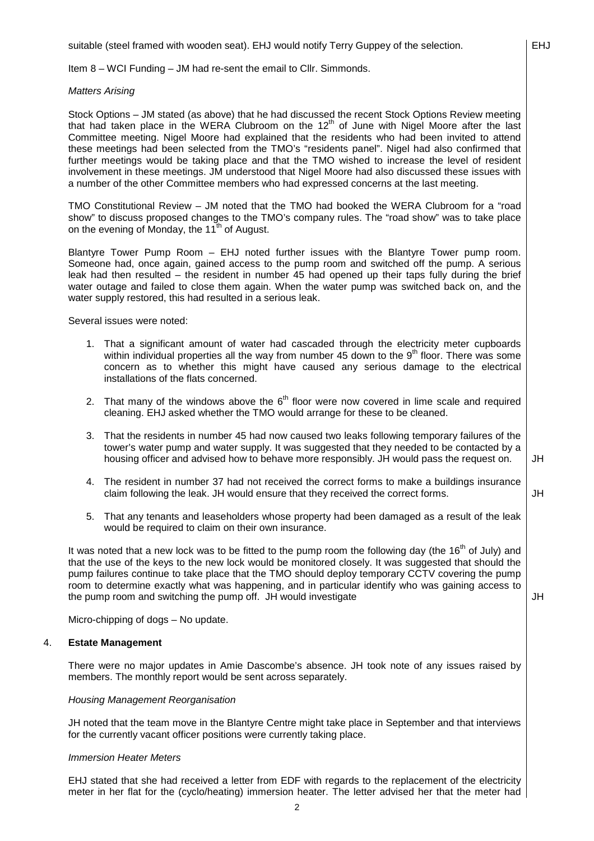suitable (steel framed with wooden seat). EHJ would notify Terry Guppey of the selection.

Item 8 – WCI Funding – JM had re-sent the email to Cllr. Simmonds.

#### Matters Arising

Stock Options – JM stated (as above) that he had discussed the recent Stock Options Review meeting that had taken place in the WERA Clubroom on the  $12<sup>th</sup>$  of June with Nigel Moore after the last Committee meeting. Nigel Moore had explained that the residents who had been invited to attend these meetings had been selected from the TMO's "residents panel". Nigel had also confirmed that further meetings would be taking place and that the TMO wished to increase the level of resident involvement in these meetings. JM understood that Nigel Moore had also discussed these issues with a number of the other Committee members who had expressed concerns at the last meeting.

TMO Constitutional Review – JM noted that the TMO had booked the WERA Clubroom for a "road show" to discuss proposed changes to the TMO's company rules. The "road show" was to take place on the evening of Monday, the 11<sup>th</sup> of August.

Blantyre Tower Pump Room – EHJ noted further issues with the Blantyre Tower pump room. Someone had, once again, gained access to the pump room and switched off the pump. A serious leak had then resulted – the resident in number 45 had opened up their taps fully during the brief water outage and failed to close them again. When the water pump was switched back on, and the water supply restored, this had resulted in a serious leak.

Several issues were noted:

- 1. That a significant amount of water had cascaded through the electricity meter cupboards within individual properties all the way from number 45 down to the  $9<sup>th</sup>$  floor. There was some concern as to whether this might have caused any serious damage to the electrical installations of the flats concerned.
- 2. That many of the windows above the  $6<sup>th</sup>$  floor were now covered in lime scale and required cleaning. EHJ asked whether the TMO would arrange for these to be cleaned.
- 3. That the residents in number 45 had now caused two leaks following temporary failures of the tower's water pump and water supply. It was suggested that they needed to be contacted by a housing officer and advised how to behave more responsibly. JH would pass the request on.
- 4. The resident in number 37 had not received the correct forms to make a buildings insurance claim following the leak. JH would ensure that they received the correct forms. JH
- 5. That any tenants and leaseholders whose property had been damaged as a result of the leak would be required to claim on their own insurance.

It was noted that a new lock was to be fitted to the pump room the following day (the  $16<sup>th</sup>$  of July) and that the use of the keys to the new lock would be monitored closely. It was suggested that should the pump failures continue to take place that the TMO should deploy temporary CCTV covering the pump room to determine exactly what was happening, and in particular identify who was gaining access to the pump room and switching the pump off. JH would investigate

Micro-chipping of dogs – No update.

#### 4. **Estate Management**

There were no major updates in Amie Dascombe's absence. JH took note of any issues raised by members. The monthly report would be sent across separately.

## Housing Management Reorganisation

JH noted that the team move in the Blantyre Centre might take place in September and that interviews for the currently vacant officer positions were currently taking place.

#### Immersion Heater Meters

EHJ stated that she had received a letter from EDF with regards to the replacement of the electricity meter in her flat for the (cyclo/heating) immersion heater. The letter advised her that the meter had

JH

JH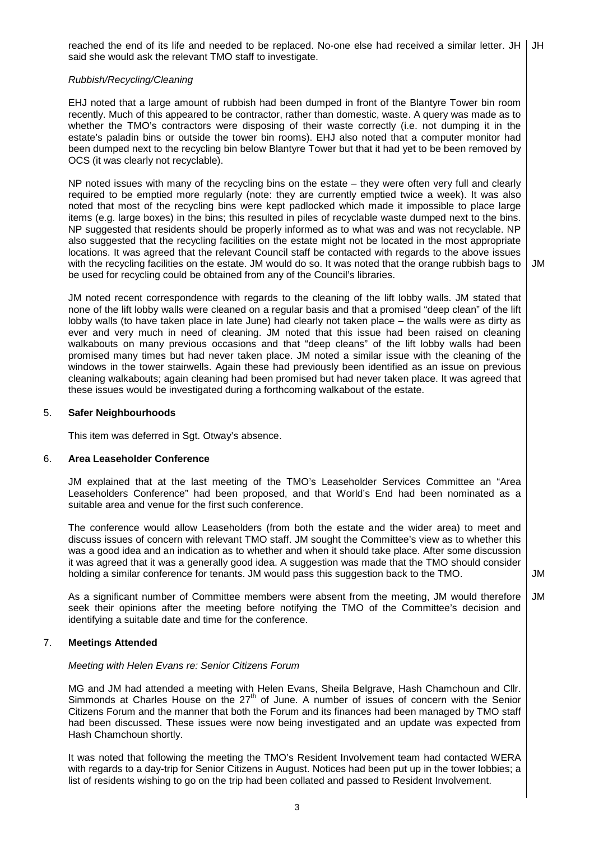reached the end of its life and needed to be replaced. No-one else had received a similar letter. JH | JH said she would ask the relevant TMO staff to investigate.

### Rubbish/Recycling/Cleaning

EHJ noted that a large amount of rubbish had been dumped in front of the Blantyre Tower bin room recently. Much of this appeared to be contractor, rather than domestic, waste. A query was made as to whether the TMO's contractors were disposing of their waste correctly (i.e. not dumping it in the estate's paladin bins or outside the tower bin rooms). EHJ also noted that a computer monitor had been dumped next to the recycling bin below Blantyre Tower but that it had yet to be been removed by OCS (it was clearly not recyclable).

NP noted issues with many of the recycling bins on the estate – they were often very full and clearly required to be emptied more regularly (note: they are currently emptied twice a week). It was also noted that most of the recycling bins were kept padlocked which made it impossible to place large items (e.g. large boxes) in the bins; this resulted in piles of recyclable waste dumped next to the bins. NP suggested that residents should be properly informed as to what was and was not recyclable. NP also suggested that the recycling facilities on the estate might not be located in the most appropriate locations. It was agreed that the relevant Council staff be contacted with regards to the above issues with the recycling facilities on the estate. JM would do so. It was noted that the orange rubbish bags to be used for recycling could be obtained from any of the Council's libraries.

JM noted recent correspondence with regards to the cleaning of the lift lobby walls. JM stated that none of the lift lobby walls were cleaned on a regular basis and that a promised "deep clean" of the lift lobby walls (to have taken place in late June) had clearly not taken place – the walls were as dirty as ever and very much in need of cleaning. JM noted that this issue had been raised on cleaning walkabouts on many previous occasions and that "deep cleans" of the lift lobby walls had been promised many times but had never taken place. JM noted a similar issue with the cleaning of the windows in the tower stairwells. Again these had previously been identified as an issue on previous cleaning walkabouts; again cleaning had been promised but had never taken place. It was agreed that these issues would be investigated during a forthcoming walkabout of the estate.

#### 5. **Safer Neighbourhoods**

This item was deferred in Sgt. Otway's absence.

#### 6. **Area Leaseholder Conference**

JM explained that at the last meeting of the TMO's Leaseholder Services Committee an "Area Leaseholders Conference" had been proposed, and that World's End had been nominated as a suitable area and venue for the first such conference.

The conference would allow Leaseholders (from both the estate and the wider area) to meet and discuss issues of concern with relevant TMO staff. JM sought the Committee's view as to whether this was a good idea and an indication as to whether and when it should take place. After some discussion it was agreed that it was a generally good idea. A suggestion was made that the TMO should consider holding a similar conference for tenants. JM would pass this suggestion back to the TMO.

As a significant number of Committee members were absent from the meeting, JM would therefore seek their opinions after the meeting before notifying the TMO of the Committee's decision and identifying a suitable date and time for the conference. JM

#### 7. **Meetings Attended**

#### Meeting with Helen Evans re: Senior Citizens Forum

MG and JM had attended a meeting with Helen Evans, Sheila Belgrave, Hash Chamchoun and Cllr. Simmonds at Charles House on the  $27<sup>th</sup>$  of June. A number of issues of concern with the Senior Citizens Forum and the manner that both the Forum and its finances had been managed by TMO staff had been discussed. These issues were now being investigated and an update was expected from Hash Chamchoun shortly.

It was noted that following the meeting the TMO's Resident Involvement team had contacted WERA with regards to a day-trip for Senior Citizens in August. Notices had been put up in the tower lobbies; a list of residents wishing to go on the trip had been collated and passed to Resident Involvement.

JM

JM